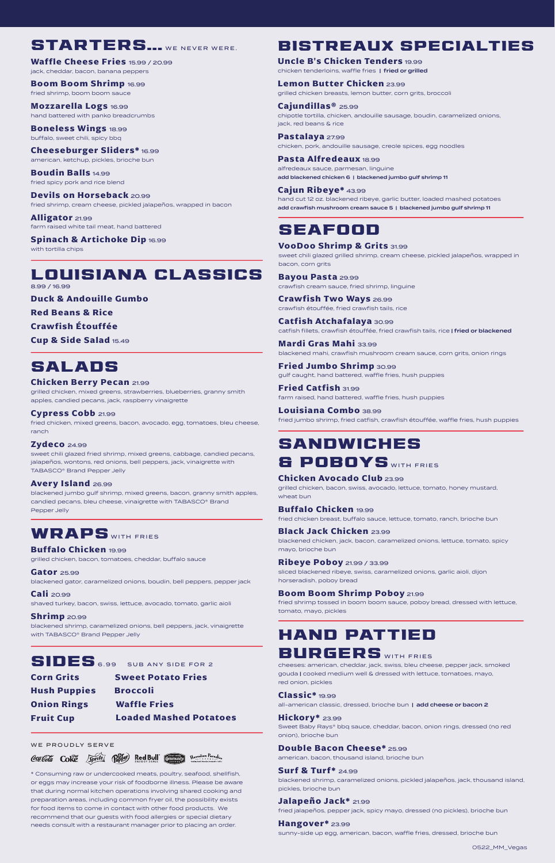### STARTERS... WE NEVER WERE.

**Waffle Cheese Fries** 15.99 / 20.99 jack, cheddar, bacon, banana peppers

**Boom Boom Shrimp** 16.99 fried shrimp, boom boom sauce

**Mozzarella Logs** 16.99 hand battered with panko breadcrumbs

**Boneless Wings** 18.99 buffalo, sweet chili, spicy bbq

**Cheeseburger Sliders\*** 16.99 american, ketchup, pickles, brioche bun

**Boudin Balls** 14.99 fried spicy pork and rice blend

**Devils on Horseback** 20.99 fried shrimp, cream cheese, pickled jalapeños, wrapped in bacon

**Alligator** 21.99 farm raised white tail meat, hand battered

**Spinach & Artichoke Dip** 16.99 with tortilla chips

#### LOUISIANA CLASSICS 8.99 / 16.99

**Duck & Andouille Gumbo**

**Red Beans & Rice**

**Crawfish Étouffée** 

**Cup & Side Salad** 15.49

# SALADS

#### **Chicken Berry Pecan** 21.99

grilled chicken, mixed greens, strawberries, blueberries, granny smith apples, candied pecans, jack, raspberry vinaigrette

**Cypress Cobb** 21.99 fried chicken, mixed greens, bacon, avocado, egg, tomatoes, bleu cheese, ranch

#### **Zydeco** 24.99

sweet chili glazed fried shrimp, mixed greens, cabbage, candied pecans, jalapeños, wontons, red onions, bell peppers, jack, vinaigrette with TABASCO® Brand Pepper Jelly

#### **Avery Island** 26.99

blackened jumbo gulf shrimp, mixed greens, bacon, granny smith apples, candied pecans, bleu cheese, vinaigrette with TABASCO® Brand Pepper Jelly

### WRAPS WITH FRIES

**Buffalo Chicken** 19.99

grilled chicken, bacon, tomatoes, cheddar, buffalo sauce

**Gator** 25.99 blackened gator, caramelized onions, boudin, bell peppers, pepper jack **Cali** 20.99

shaved turkey, bacon, swiss, lettuce, avocado, tomato, garlic aioli

**Shrimp** 20.99 blackened shrimp, caramelized onions, bell peppers, jack, vinaigrette with TABASCO® Brand Pepper Jelly

# SIDES 6.99 SUB ANY SIDE FOR 2

**Corn Grits Sweet Potato Fries**

**Hush Puppies Broccoli Onion Rings Waffle Fries Fruit Cup** 

**Loaded Mashed Potatoes**

WE PROUDLY SERVE

Coalleda Colle Sprite (Perfec) Red Bull Community Magazines Paradise

\* Consuming raw or undercooked meats, poultry, seafood, shellfish, or eggs may increase your risk of foodborne illness. Please be aware that during normal kitchen operations involving shared cooking and preparation areas, including common fryer oil, the possibility exists for food items to come in contact with other food products. We recommend that our guests with food allergies or special dietary needs consult with a restaurant manager prior to placing an order.

### BISTREAUX SPECIALTIES

**Uncle B's Chicken Tenders** 19.99 chicken tenderloins, waffle fries | fried or grilled

**Lemon Butter Chicken** 23.99 grilled chicken breasts, lemon butter, corn grits, broccoli

**Cajundillas®** 25.99 chipotle tortilla, chicken, andouille sausage, boudin, caramelized onions, jack, red beans & rice

**Pastalaya** 27.99 chicken, pork, andouille sausage, creole spices, egg noodles

**Pasta Alfredeaux** 18.99 alfredeaux sauce, parmesan, linguine add blackened chicken 6 | blackened jumbo gulf shrimp 11

**Cajun Ribeye\*** 43.99 hand cut 12 oz. blackened ribeye, garlic butter, loaded mashed potatoes add crawfish mushroom cream sauce 5 | blackened jumbo gulf shrimp 11

### SEAFOOD

#### **VooDoo Shrimp & Grits** 31.99

sweet chili glazed grilled shrimp, cream cheese, pickled jalapeños, wrapped in bacon, corn grits

**Bayou Pasta** 29.99 crawfish cream sauce, fried shrimp, linguine

**Crawfish Two Ways** 26.99 crawfish étouffée, fried crawfish tails, rice

**Catfish Atchafalaya** 30.99 catfish fillets, crawfish étouffée, fried crawfish tails, rice | fried or blackened **Mardi Gras Mahi** 33.99

blackened mahi, crawfish mushroom cream sauce, corn grits, onion rings

**Fried Jumbo Shrimp** 30.99 gulf caught, hand battered, waffle fries, hush puppies

**Fried Catfish** 31.99 farm raised, hand battered, waffle fries, hush puppies

**Louisiana Combo** 38.99 fried jumbo shrimp, fried catfish, crawfish étouffée, waffle fries, hush puppies

# SANDWICHES

### & POBOYS WITH FRIES

**Chicken Avocado Club** 23.99 grilled chicken, bacon, swiss, avocado, lettuce, tomato, honey mustard, wheat bun

**Buffalo Chicken** 19.99 fried chicken breast, buffalo sauce, lettuce, tomato, ranch, brioche bun

**Black Jack Chicken** 23.99 blackened chicken, jack, bacon, caramelized onions, lettuce, tomato, spicy mayo, brioche bun

**Ribeye Poboy** 21.99 / 33.99 sliced blackened ribeye, swiss, caramelized onions, garlic aioli, dijon horseradish, poboy bread

**Boom Boom Shrimp Poboy** 21.99 fried shrimp tossed in boom boom sauce, poboy bread, dressed with lettuce, tomato, mayo, pickles

# HAND PATTIED

# BURGERS WITH FRIES

cheeses: american, cheddar, jack, swiss, bleu cheese, pepper jack, smoked gouda | cooked medium well & dressed with lettuce, tomatoes, mayo, red onion, pickles

#### **Classic\*** 19.99

all-american classic, dressed, brioche bun | add cheese or bacon 2

**Hickory\*** 23.99 Sweet Baby Rays® bbq sauce, cheddar, bacon, onion rings, dressed (no red

onion), brioche bun **Double Bacon Cheese\*** 25.99

american, bacon, thousand island, brioche bun

**Surf & Turf\*** 24.99 blackened shrimp, caramelized onions, pickled jalapeños, jack, thousand island, pickles, brioche bun

**Jalapeño Jack\*** 21.99 fried jalapeños, pepper jack, spicy mayo, dressed (no pickles), brioche bun

**Hangover\*** 23.99 sunny-side up egg, american, bacon, waffle fries, dressed, brioche bun